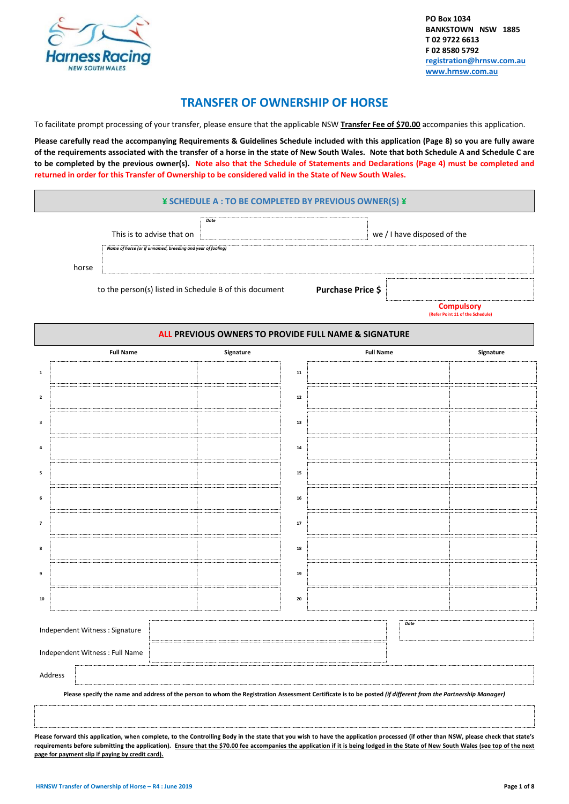

## **TRANSFER OF OWNERSHIP OF HORSE**

To facilitate prompt processing of your transfer, please ensure that the applicable NSW **Transfer Fee of \$70.00** accompanies this application.

**Please carefully read the accompanying Requirements & Guidelines Schedule included with this application (Page 8) so you are fully aware of the requirements associated with the transfer of a horse in the state of New South Wales. Note that both Schedule A and Schedule C are to be completed by the previous owner(s). Note also that the Schedule of Statements and Declarations (Page 4) must be completed and returned in order for this Transfer of Ownership to be considered valid in the State of New South Wales.**

| ¥ SCHEDULE A : TO BE COMPLETED BY PREVIOUS OWNER(S) ¥ |  |
|-------------------------------------------------------|--|
|-------------------------------------------------------|--|

**ALL PREVIOUS OWNERS TO PROVIDE FULL NAME & SIGNATURE**

|       | This is to advise that on                                   | Date |                   | we / I have disposed of the                           |
|-------|-------------------------------------------------------------|------|-------------------|-------------------------------------------------------|
|       | Name of horse (or if unnamed, breeding and year of foaling) |      |                   |                                                       |
| horse |                                                             |      |                   |                                                       |
|       | to the person(s) listed in Schedule B of this document      |      | Purchase Price \$ |                                                       |
|       |                                                             |      |                   | <b>Compulsory</b><br>(Refer Point 11 of the Schedule) |

|                                 | <b>Full Name</b>                                                                                                                                                                   | Signature |            | <b>Full Name</b> |      | Signature |  |
|---------------------------------|------------------------------------------------------------------------------------------------------------------------------------------------------------------------------------|-----------|------------|------------------|------|-----------|--|
| $\mathbf 1$                     |                                                                                                                                                                                    |           | ${\bf 11}$ |                  |      |           |  |
| $\mathbf{2}$                    |                                                                                                                                                                                    |           | ${\bf 12}$ |                  |      |           |  |
| $\mathbf 3$                     |                                                                                                                                                                                    |           | 13         |                  |      |           |  |
| $\bf{4}$                        |                                                                                                                                                                                    |           | ${\bf 14}$ |                  |      |           |  |
| 5                               |                                                                                                                                                                                    |           | 15         |                  |      |           |  |
| 6                               |                                                                                                                                                                                    |           | 16         |                  |      |           |  |
| $\overline{7}$                  |                                                                                                                                                                                    |           | 17         |                  |      |           |  |
| 8                               |                                                                                                                                                                                    |           | 18         |                  |      |           |  |
| 9                               |                                                                                                                                                                                    |           | 19         |                  |      |           |  |
| 10                              |                                                                                                                                                                                    |           | 20         |                  |      |           |  |
| Independent Witness : Signature |                                                                                                                                                                                    |           |            |                  | Date |           |  |
| Independent Witness : Full Name |                                                                                                                                                                                    |           |            |                  |      |           |  |
| Address                         |                                                                                                                                                                                    |           |            |                  |      |           |  |
|                                 | Please specify the name and address of the person to whom the Registration Assessment Certificate is to be posted (if different from the Partnership Manager)                      |           |            |                  |      |           |  |
|                                 |                                                                                                                                                                                    |           |            |                  |      |           |  |
|                                 | Please forward this application, when complete, to the Controlling Body in the state that you wish to have the application processed (if other than NSW, please check that state's |           |            |                  |      |           |  |

**Please forward this application, when complete, to the Controlling Body in the state that you wish to have the application processed (if other than NSW, please check that state's requirements before submitting the application). Ensure that the \$70.00 fee accompanies the application if it is being lodged in the State of New South Wales (see top of the next page for payment slip if paying by credit card).**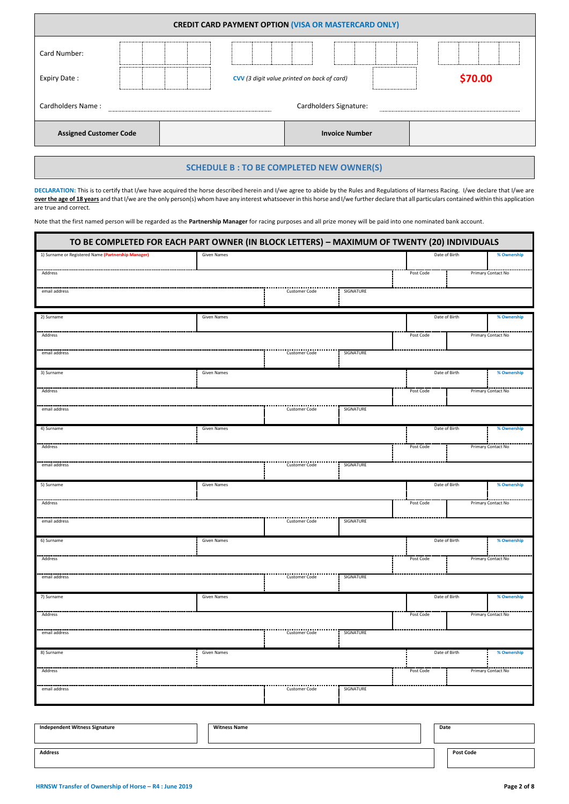| <b>CREDIT CARD PAYMENT OPTION (VISA OR MASTERCARD ONLY)</b> |                                             |  |  |  |                       |  |  |         |
|-------------------------------------------------------------|---------------------------------------------|--|--|--|-----------------------|--|--|---------|
| Card Number:<br>Expiry Date:                                | CVV (3 digit value printed on back of card) |  |  |  |                       |  |  | \$70.00 |
| Cardholders Name:                                           | Cardholders Signature:                      |  |  |  |                       |  |  |         |
| <b>Assigned Customer Code</b>                               |                                             |  |  |  | <b>Invoice Number</b> |  |  |         |
|                                                             |                                             |  |  |  |                       |  |  |         |

### **SCHEDULE B : TO BE COMPLETED NEW OWNER(S)**

DECLARATION: This is to certify that I/we have acquired the horse described herein and I/we agree to abide by the Rules and Regulations of Harness Racing. I/we declare that I/we are **over the age of 18 years** and that I/we are the only person(s) whom have any interest whatsoever in this horse and I/we further declare that all particulars contained within this application are true and correct.

Note that the first named person will be regarded as the **Partnership Manager** for racing purposes and all prize money will be paid into one nominated bank account.

| TO BE COMPLETED FOR EACH PART OWNER (IN BLOCK LETTERS) - MAXIMUM OF TWENTY (20) INDIVIDUALS |                    |                      |           |               |  |                    |
|---------------------------------------------------------------------------------------------|--------------------|----------------------|-----------|---------------|--|--------------------|
| 1) Surname or Registered Name (Partnership Manager)                                         | <b>Given Names</b> |                      |           | Date of Birth |  | % Ownership        |
| Address                                                                                     |                    |                      |           | Post Code     |  | Primary Contact No |
| email address                                                                               |                    | Customer Code        | SIGNATURE |               |  |                    |
|                                                                                             |                    |                      |           |               |  |                    |
| 2) Surname                                                                                  | <b>Given Names</b> |                      |           | Date of Birth |  | % Ownership        |
| Address                                                                                     |                    |                      |           | Post Code     |  | Primary Contact No |
|                                                                                             |                    |                      |           |               |  |                    |
| email address                                                                               |                    | <b>Customer Code</b> | SIGNATURE |               |  |                    |
| 3) Surname                                                                                  | <b>Given Names</b> |                      |           | Date of Birth |  | % Ownership        |
| Address                                                                                     |                    |                      |           | Post Code     |  | Primary Contact No |
| email address                                                                               |                    | Customer Code        | SIGNATURE |               |  |                    |
|                                                                                             |                    |                      |           |               |  |                    |
| 4) Surname                                                                                  | <b>Given Names</b> |                      |           | Date of Birth |  | % Ownership        |
| Address                                                                                     |                    |                      |           | Post Code     |  | Primary Contact No |
| email address                                                                               |                    | <b>Customer Code</b> | SIGNATURE |               |  |                    |
|                                                                                             |                    |                      |           |               |  |                    |
| 5) Surname                                                                                  | <b>Given Names</b> |                      |           | Date of Birth |  | % Ownership        |
| Address                                                                                     |                    |                      |           | Post Code     |  | Primary Contact No |
| email address                                                                               |                    | <br>Customer Code    | SIGNATURE |               |  |                    |
| 6) Surname                                                                                  | <b>Given Names</b> |                      |           | Date of Birth |  | % Ownership        |
|                                                                                             |                    |                      |           |               |  |                    |
| Address                                                                                     |                    |                      |           | Post Code     |  | Primary Contact No |
| email address                                                                               |                    | <b>Customer Code</b> | SIGNATURE |               |  |                    |
| 7) Surname                                                                                  | <b>Given Names</b> |                      |           | Date of Birth |  | % Ownership        |
| Address                                                                                     |                    |                      |           | Post Code     |  | Primary Contact No |
|                                                                                             |                    |                      |           |               |  |                    |
| email address                                                                               |                    | Customer Code        | SIGNATURE |               |  |                    |
| 8) Surname                                                                                  | <b>Given Names</b> |                      |           | Date of Birth |  | % Ownership        |
| Address                                                                                     |                    |                      |           | Post Code     |  | Primary Contact No |
|                                                                                             |                    | Customer Code        |           |               |  |                    |
| email address                                                                               |                    |                      | SIGNATURE |               |  |                    |
|                                                                                             |                    |                      |           |               |  |                    |

| <b>Independent Witness Signature</b> | <b>Witness Name</b> | Date             |
|--------------------------------------|---------------------|------------------|
| <b>Address</b>                       |                     | <b>Post Code</b> |

L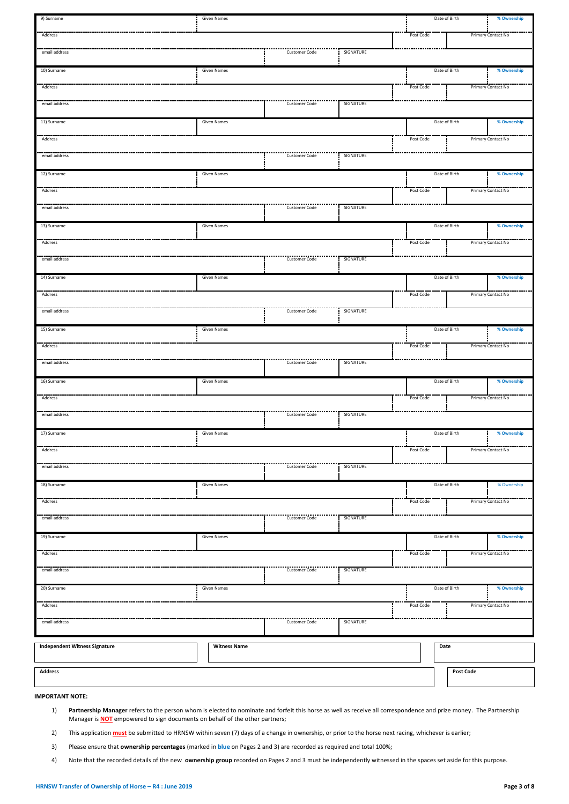| 9) Surname                           | Given Names         |                           |           |           | Date of Birth    | % Ownership        |
|--------------------------------------|---------------------|---------------------------|-----------|-----------|------------------|--------------------|
| Address                              |                     |                           |           | Post Code |                  | Primary Contact No |
| email address                        |                     | Customer Code             | SIGNATURE |           |                  |                    |
| 10) Surname                          | Given Names         |                           |           |           | Date of Birth    | % Ownership        |
| Address                              |                     |                           |           | Post Code |                  | Primary Contact No |
| email address                        |                     | <b>Customer Code</b>      | SIGNATURE |           |                  |                    |
| 11) Surname                          | <b>Given Names</b>  |                           |           |           | Date of Birth    | % Ownership        |
| Address                              |                     |                           |           | Post Code |                  | Primary Contact No |
| email address                        |                     | <b>Customer Code</b>      | SIGNATURE |           |                  |                    |
| 12) Surname                          | Given Names         |                           |           |           | Date of Birth    | % Ownership        |
| Address                              |                     |                           |           | Post Code |                  | Primary Contact No |
| email address                        |                     | <b>Customer Code</b>      | SIGNATURE |           |                  |                    |
| 13) Surname                          | <b>Given Names</b>  |                           |           |           | Date of Birth    | % Ownership        |
| Address                              |                     |                           |           | Post Code |                  | Primary Contact No |
| email address                        |                     | <b>Customer Code</b>      | SIGNATURE |           |                  |                    |
| 14) Surname                          | Given Names         |                           |           |           | Date of Birth    | % Ownership        |
| Address                              |                     |                           |           | Post Code |                  | Primary Contact No |
| email address                        |                     | <b>Customer Code</b>      | SIGNATURE |           |                  |                    |
| 15) Surname                          | <b>Given Names</b>  |                           |           |           | Date of Birth    | % Ownership        |
| Address                              |                     |                           |           | Post Code |                  | Primary Contact No |
| email address                        |                     | Customer Code             | SIGNATURE |           |                  |                    |
| 16) Surname                          | <b>Given Names</b>  |                           |           |           | Date of Birth    | % Ownership        |
| Address                              |                     |                           |           | Post Code |                  | Primary Contact No |
| email address                        |                     | <b>Customer Code</b>      | SIGNATURE |           |                  |                    |
| 17) Surname                          | <b>Given Names</b>  |                           |           |           | Date of Birth    | % Ownership        |
| Address                              |                     |                           |           | Post Code |                  | Primary Contact No |
| email address                        |                     | .<br><b>Customer Code</b> | SIGNATURE |           |                  |                    |
| 18) Surname                          | <b>Given Names</b>  |                           |           |           | Date of Birth    | % Ownership        |
| Address                              |                     |                           |           | Post Code |                  | Primary Contact No |
| email address                        |                     | .<br>Customer Code        | SIGNATURE |           |                  |                    |
| 19) Surname                          | <b>Given Names</b>  |                           |           |           | Date of Birth    | % Ownership        |
| Address                              |                     |                           |           | Post Code |                  | Primary Contact No |
| email address                        |                     | <b>Customer Code</b>      | SIGNATURE |           |                  |                    |
| 20) Surname                          | Given Names         |                           |           |           | Date of Birth    | % Ownership        |
| Address                              |                     |                           |           | Post Code |                  | Primary Contact No |
| email address                        |                     | <br>Customer Code         | SIGNATURE |           |                  |                    |
| <b>Independent Witness Signature</b> | <b>Witness Name</b> |                           |           |           | Date             |                    |
|                                      |                     |                           |           |           |                  |                    |
| Address                              |                     |                           |           |           | <b>Post Code</b> |                    |
| <b>IMPORTANT NOTE:</b>               |                     |                           |           |           |                  |                    |

- 1) **Partnership Manager** refers to the person whom is elected to nominate and forfeit this horse as well as receive all correspondence and prize money. The Partnership Manager is **NOT** empowered to sign documents on behalf of the other partners;
- 2) This application **must** be submitted to HRNSW within seven (7) days of a change in ownership, or prior to the horse next racing, whichever is earlier;
- 3) Please ensure that **ownership percentages** (marked in **blue** on Pages 2 and 3) are recorded as required and total 100%;
- 4) Note that the recorded details of the new **ownership group** recorded on Pages 2 and 3 must be independently witnessed in the spaces set aside for this purpose.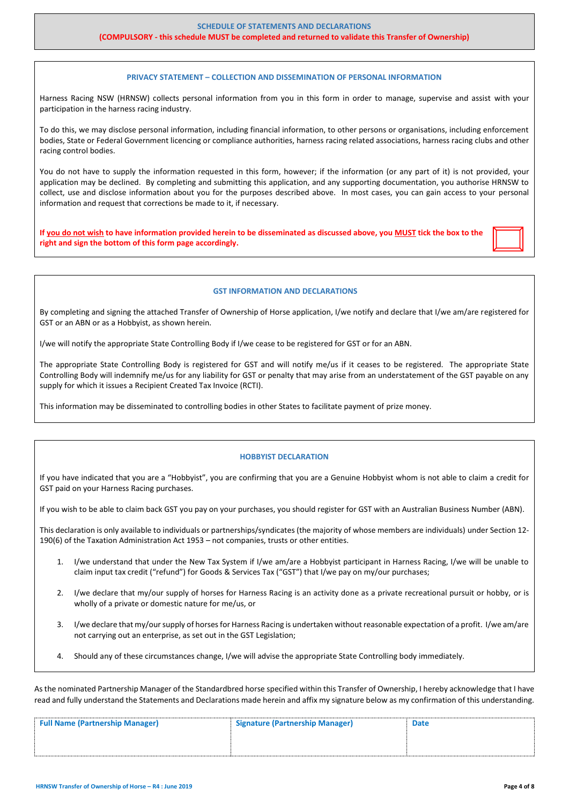### **(COMPULSORY - this schedule MUST be completed and returned to validate this Transfer of Ownership)**

### **PRIVACY STATEMENT – COLLECTION AND DISSEMINATION OF PERSONAL INFORMATION**

Harness Racing NSW (HRNSW) collects personal information from you in this form in order to manage, supervise and assist with your participation in the harness racing industry.

To do this, we may disclose personal information, including financial information, to other persons or organisations, including enforcement bodies, State or Federal Government licencing or compliance authorities, harness racing related associations, harness racing clubs and other racing control bodies.

You do not have to supply the information requested in this form, however; if the information (or any part of it) is not provided, your application may be declined. By completing and submitting this application, and any supporting documentation, you authorise HRNSW to collect, use and disclose information about you for the purposes described above. In most cases, you can gain access to your personal information and request that corrections be made to it, if necessary.

**If you do not wish to have information provided herein to be disseminated as discussed above, you MUST tick the box to the right and sign the bottom of this form page accordingly.** 

#### **GST INFORMATION AND DECLARATIONS**

By completing and signing the attached Transfer of Ownership of Horse application, I/we notify and declare that I/we am/are registered for GST or an ABN or as a Hobbyist, as shown herein.

I/we will notify the appropriate State Controlling Body if I/we cease to be registered for GST or for an ABN.

The appropriate State Controlling Body is registered for GST and will notify me/us if it ceases to be registered. The appropriate State Controlling Body will indemnify me/us for any liability for GST or penalty that may arise from an understatement of the GST payable on any supply for which it issues a Recipient Created Tax Invoice (RCTI).

This information may be disseminated to controlling bodies in other States to facilitate payment of prize money.

#### **HOBBYIST DECLARATION**

If you have indicated that you are a "Hobbyist", you are confirming that you are a Genuine Hobbyist whom is not able to claim a credit for GST paid on your Harness Racing purchases.

If you wish to be able to claim back GST you pay on your purchases, you should register for GST with an Australian Business Number (ABN).

This declaration is only available to individuals or partnerships/syndicates (the majority of whose members are individuals) under Section 12- 190(6) of the Taxation Administration Act 1953 – not companies, trusts or other entities.

- 1. I/we understand that under the New Tax System if I/we am/are a Hobbyist participant in Harness Racing, I/we will be unable to claim input tax credit ("refund") for Goods & Services Tax ("GST") that I/we pay on my/our purchases;
- 2. I/we declare that my/our supply of horses for Harness Racing is an activity done as a private recreational pursuit or hobby, or is wholly of a private or domestic nature for me/us, or
- 3. I/we declare that my/our supply of horses for Harness Racing is undertaken without reasonable expectation of a profit. I/we am/are not carrying out an enterprise, as set out in the GST Legislation;
- 4. Should any of these circumstances change, I/we will advise the appropriate State Controlling body immediately.

As the nominated Partnership Manager of the Standardbred horse specified within this Transfer of Ownership, I hereby acknowledge that I have read and fully understand the Statements and Declarations made herein and affix my signature below as my confirmation of this understanding.

| <b>Full Name (Partnership Manager)</b> | <b>Signature (Partnership Manager)</b> | <b>Date</b> |
|----------------------------------------|----------------------------------------|-------------|
|                                        |                                        |             |
|                                        |                                        |             |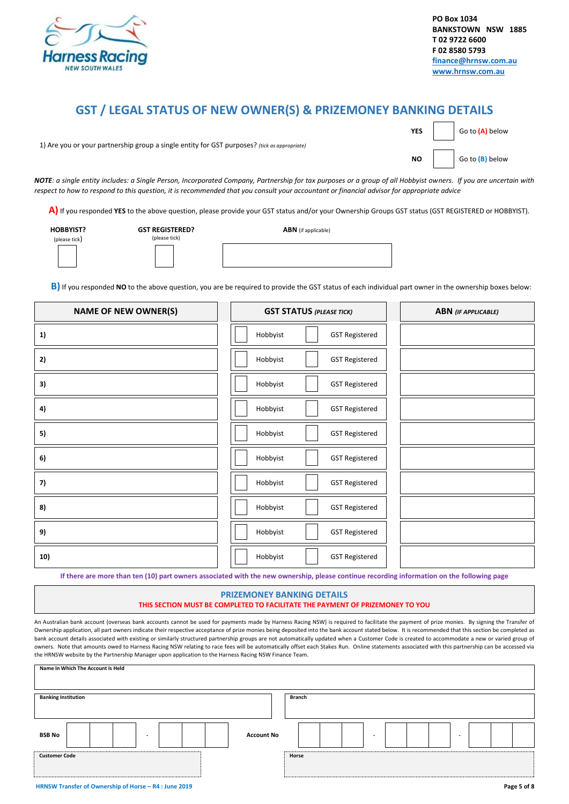

## **GST / LEGAL STATUS OF NEW OWNER(S) & PRIZEMONEY BANKING DETAILS**

|                                                                                              |  | <b>YES</b> $\begin{array}{ c c c c c }\n\hline\n\end{array}$ Go to $\begin{array}{ c c c c }\n\hline\n\end{array}$ below |
|----------------------------------------------------------------------------------------------|--|--------------------------------------------------------------------------------------------------------------------------|
| 1) Are you or your partnership group a single entity for GST purposes? (tick as appropriate) |  |                                                                                                                          |
|                                                                                              |  | <b>NO</b> $\Big $ Go to $\Big  B \Big $ below                                                                            |

*NOTE: a single entity includes: a Single Person, Incorporated Company, Partnership for tax purposes or a group of all Hobbyist owners. If you are uncertain with respect to how to respond to this question, it is recommended that you consult your accountant or financial advisor for appropriate advice*

 **A)** If you responded **YES** to the above question, please provide your GST status and/or your Ownership Groups GST status (GST REGISTERED or HOBBYIST).

| <b>HOBBYIST?</b>    |  |
|---------------------|--|
| $(n$ lease tick $)$ |  |

**GST REGISTERED?** (please tick)

 **ABN** (if applicable)

**B)** If you responded **NO** to the above question, you are be required to provide the GST status of each individual part owner in the ownership boxes below:

| <b>NAME OF NEW OWNER(S)</b> | <b>GST STATUS (PLEASE TICK)</b>   | <b>ABN</b> (IF APPLICABLE) |
|-----------------------------|-----------------------------------|----------------------------|
| 1)                          | Hobbyist<br><b>GST Registered</b> |                            |
| 2)                          | Hobbyist<br><b>GST Registered</b> |                            |
| 3)                          | Hobbyist<br><b>GST Registered</b> |                            |
| 4)                          | Hobbyist<br><b>GST Registered</b> |                            |
| 5)                          | Hobbyist<br><b>GST Registered</b> |                            |
| 6)                          | Hobbyist<br><b>GST Registered</b> |                            |
| 7)                          | Hobbyist<br><b>GST Registered</b> |                            |
| 8)                          | Hobbyist<br><b>GST Registered</b> |                            |
| 9)                          | Hobbyist<br><b>GST Registered</b> |                            |
| 10)                         | Hobbyist<br><b>GST Registered</b> |                            |

**If there are more than ten (10) part owners associated with the new ownership, please continue recording information on the following page**

# **PRIZEMONEY BANKING DETAILS**

**THIS SECTION MUST BE COMPLETED TO FACILITATE THE PAYMENT OF PRIZEMONEY TO YOU**

 An Australian bank account (overseas bank accounts cannot be used for payments made by Harness Racing NSW) is required to facilitate the payment of prize monies. By signing the Transfer of Ownership application, all part owners indicate their respective acceptance of prize monies being deposited into the bank account stated below. It is recommended that this section be completed as bank account details associated with existing or similarly structured partnership groups are not automatically updated when a Customer Code is created to accommodate a new or varied group of owners. Note that amounts owed to Harness Racing NSW relating to race fees will be automatically offset each Stakes Run. Online statements associated with this partnership can be accessed via the HRNSW website by the Partnership Manager upon application to the Harness Racing NSW Finance Team.

| Name In Which The Account Is Held                     |        |             |
|-------------------------------------------------------|--------|-------------|
| <b>Banking Institution</b>                            | Branch |             |
| <b>BSB No</b><br><b>Account No</b><br>۰               | ۰.     |             |
| <b>Customer Code</b>                                  | Horse  |             |
| HRNSW Transfer of Ownership of Horse - R4 : June 2019 |        | Page 5 of 8 |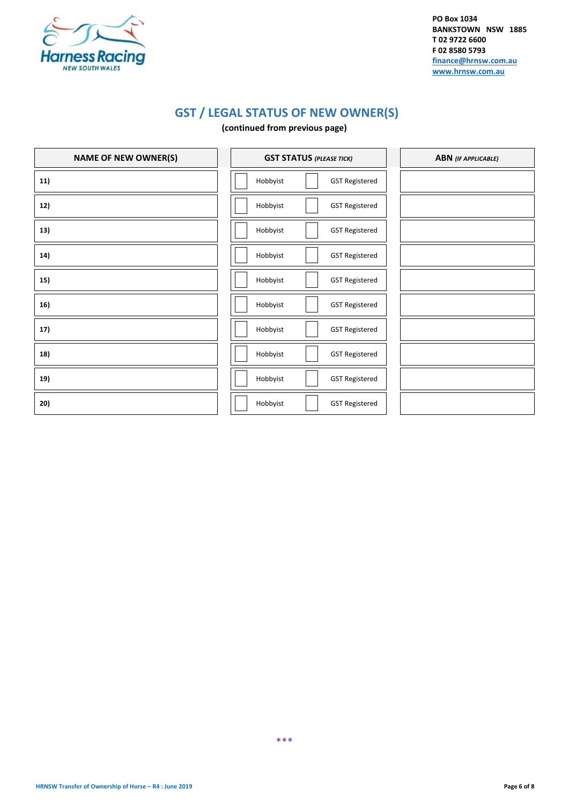

**PO Box 1034 BANKSTOWN NSW 1885 T 02 9722 6600 F 02 8580 5793 [finance@hrnsw.com.au](mailto:finance@hrnsw.com.au) [www.hrnsw.com.au](http://www.hrnsw.com.au/)**

# **GST / LEGAL STATUS OF NEW OWNER(S)**

### **(continued from previous page)**

| <b>NAME OF NEW OWNER(S)</b> | <b>GST STATUS (PLEASE TICK)</b>   | <b>ABN</b> (IF APPLICABLE) |
|-----------------------------|-----------------------------------|----------------------------|
| 11)                         | Hobbyist<br><b>GST Registered</b> |                            |
| 12)                         | Hobbyist<br><b>GST Registered</b> |                            |
| 13)                         | Hobbyist<br><b>GST Registered</b> |                            |
| 14)                         | Hobbyist<br><b>GST Registered</b> |                            |
| 15)                         | Hobbyist<br><b>GST Registered</b> |                            |
| 16)                         | Hobbyist<br><b>GST Registered</b> |                            |
| 17)                         | Hobbyist<br><b>GST Registered</b> |                            |
| 18)                         | Hobbyist<br><b>GST Registered</b> |                            |
| 19)                         | Hobbyist<br><b>GST Registered</b> |                            |
| 20)                         | Hobbyist<br><b>GST Registered</b> |                            |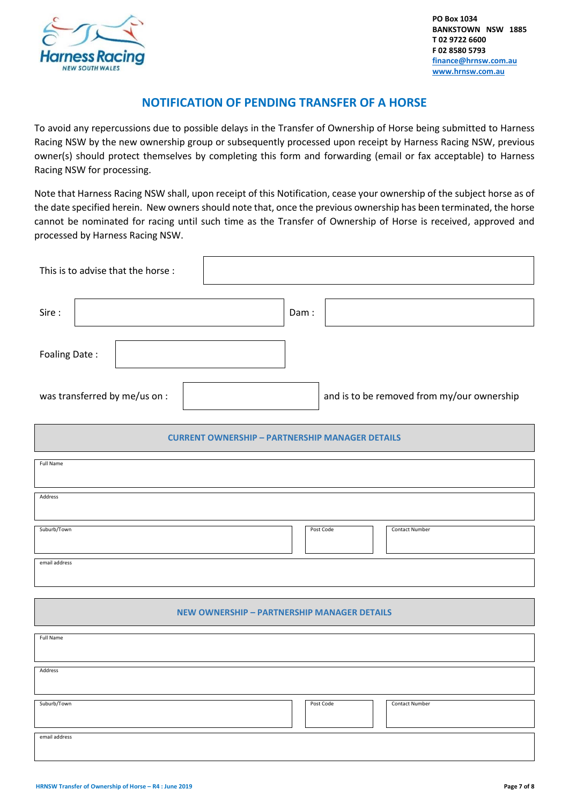

## **NOTIFICATION OF PENDING TRANSFER OF A HORSE**

To avoid any repercussions due to possible delays in the Transfer of Ownership of Horse being submitted to Harness Racing NSW by the new ownership group or subsequently processed upon receipt by Harness Racing NSW, previous owner(s) should protect themselves by completing this form and forwarding (email or fax acceptable) to Harness Racing NSW for processing.

Note that Harness Racing NSW shall, upon receipt of this Notification, cease your ownership of the subject horse as of the date specified herein. New owners should note that, once the previous ownership has been terminated, the horse cannot be nominated for racing until such time as the Transfer of Ownership of Horse is received, approved and processed by Harness Racing NSW.

| This is to advise that the horse :                     |      |           |                                            |
|--------------------------------------------------------|------|-----------|--------------------------------------------|
| Sire:                                                  | Dam: |           |                                            |
| Foaling Date:                                          |      |           |                                            |
| was transferred by me/us on :                          |      |           | and is to be removed from my/our ownership |
| <b>CURRENT OWNERSHIP - PARTNERSHIP MANAGER DETAILS</b> |      |           |                                            |
| Full Name                                              |      |           |                                            |
| Address                                                |      |           |                                            |
| Suburb/Town                                            |      | Post Code | Contact Number                             |
| email address                                          |      |           |                                            |
| <b>NEW OWNERSHIP - PARTNERSHIP MANAGER DETAILS</b>     |      |           |                                            |
| Full Name                                              |      |           |                                            |
| Address                                                |      |           |                                            |
| Suburb/Town                                            |      | Post Code | Contact Number                             |
| email address                                          |      |           |                                            |